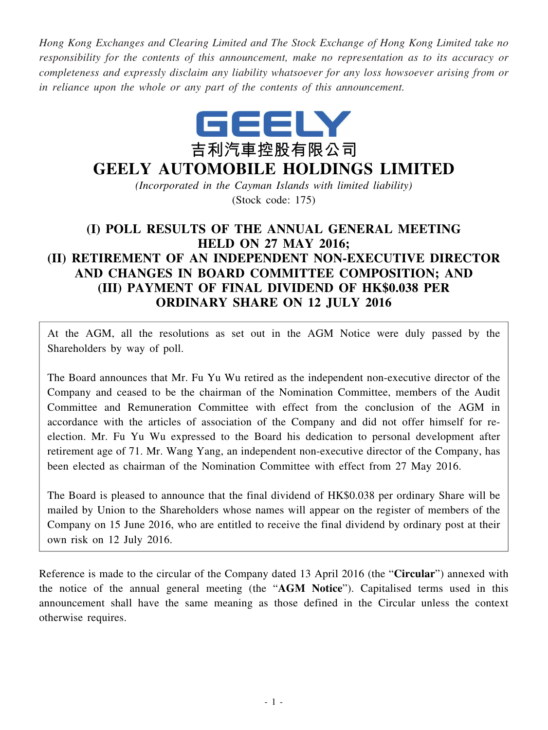*Hong Kong Exchanges and Clearing Limited and The Stock Exchange of Hong Kong Limited take no responsibility for the contents of this announcement, make no representation as to its accuracy or completeness and expressly disclaim any liability whatsoever for any loss howsoever arising from or in reliance upon the whole or any part of the contents of this announcement.*



# **GEELY AUTOMOBILE HOLDINGS LIMITED**

*(Incorporated in the Cayman Islands with limited liability)* (Stock code: 175)

# **(I) POLL RESULTS OF THE ANNUAL GENERAL MEETING HELD ON 27 MAY 2016; (II) RETIREMENT OF AN INDEPENDENT NON-EXECUTIVE DIRECTOR AND CHANGES IN BOARD COMMITTEE COMPOSITION; AND (III) PAYMENT OF FINAL DIVIDEND OF HK\$0.038 PER ORDINARY SHARE ON 12 JULY 2016**

At the AGM, all the resolutions as set out in the AGM Notice were duly passed by the Shareholders by way of poll.

The Board announces that Mr. Fu Yu Wu retired as the independent non-executive director of the Company and ceased to be the chairman of the Nomination Committee, members of the Audit Committee and Remuneration Committee with effect from the conclusion of the AGM in accordance with the articles of association of the Company and did not offer himself for reelection. Mr. Fu Yu Wu expressed to the Board his dedication to personal development after retirement age of 71. Mr. Wang Yang, an independent non-executive director of the Company, has been elected as chairman of the Nomination Committee with effect from 27 May 2016.

The Board is pleased to announce that the final dividend of HK\$0.038 per ordinary Share will be mailed by Union to the Shareholders whose names will appear on the register of members of the Company on 15 June 2016, who are entitled to receive the final dividend by ordinary post at their own risk on 12 July 2016.

Reference is made to the circular of the Company dated 13 April 2016 (the "**Circular**") annexed with the notice of the annual general meeting (the "**AGM Notice**"). Capitalised terms used in this announcement shall have the same meaning as those defined in the Circular unless the context otherwise requires.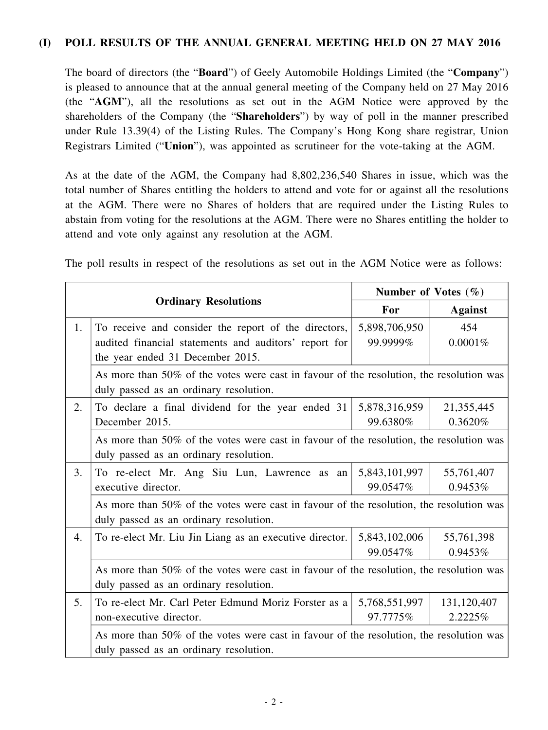#### **(I) POLL RESULTS OF THE ANNUAL GENERAL MEETING HELD ON 27 MAY 2016**

The board of directors (the "**Board**") of Geely Automobile Holdings Limited (the "**Company**") is pleased to announce that at the annual general meeting of the Company held on 27 May 2016 (the "**AGM**"), all the resolutions as set out in the AGM Notice were approved by the shareholders of the Company (the "**Shareholders**") by way of poll in the manner prescribed under Rule 13.39(4) of the Listing Rules. The Company's Hong Kong share registrar, Union Registrars Limited ("**Union**"), was appointed as scrutineer for the vote-taking at the AGM.

As at the date of the AGM, the Company had 8,802,236,540 Shares in issue, which was the total number of Shares entitling the holders to attend and vote for or against all the resolutions at the AGM. There were no Shares of holders that are required under the Listing Rules to abstain from voting for the resolutions at the AGM. There were no Shares entitling the holder to attend and vote only against any resolution at the AGM.

The poll results in respect of the resolutions as set out in the AGM Notice were as follows:

|    |                                                                                                                                                   | Number of Votes $(\% )$   |                        |  |
|----|---------------------------------------------------------------------------------------------------------------------------------------------------|---------------------------|------------------------|--|
|    | <b>Ordinary Resolutions</b>                                                                                                                       | For                       | <b>Against</b>         |  |
| 1. | To receive and consider the report of the directors,<br>audited financial statements and auditors' report for<br>the year ended 31 December 2015. | 5,898,706,950<br>99.9999% | 454<br>0.0001%         |  |
|    | As more than 50% of the votes were cast in favour of the resolution, the resolution was<br>duly passed as an ordinary resolution.                 |                           |                        |  |
| 2. | To declare a final dividend for the year ended 31<br>December 2015.                                                                               | 5,878,316,959<br>99.6380% | 21,355,445<br>0.3620%  |  |
|    | As more than 50% of the votes were cast in favour of the resolution, the resolution was<br>duly passed as an ordinary resolution.                 |                           |                        |  |
| 3. | To re-elect Mr. Ang Siu Lun, Lawrence as an<br>executive director.                                                                                | 5,843,101,997<br>99.0547% | 55,761,407<br>0.9453%  |  |
|    | As more than 50% of the votes were cast in favour of the resolution, the resolution was<br>duly passed as an ordinary resolution.                 |                           |                        |  |
| 4. | To re-elect Mr. Liu Jin Liang as an executive director.                                                                                           | 5,843,102,006<br>99.0547% | 55,761,398<br>0.9453%  |  |
|    | As more than 50% of the votes were cast in favour of the resolution, the resolution was<br>duly passed as an ordinary resolution.                 |                           |                        |  |
| 5. | To re-elect Mr. Carl Peter Edmund Moriz Forster as a<br>non-executive director.                                                                   | 5,768,551,997<br>97.7775% | 131,120,407<br>2.2225% |  |
|    | As more than 50% of the votes were cast in favour of the resolution, the resolution was<br>duly passed as an ordinary resolution.                 |                           |                        |  |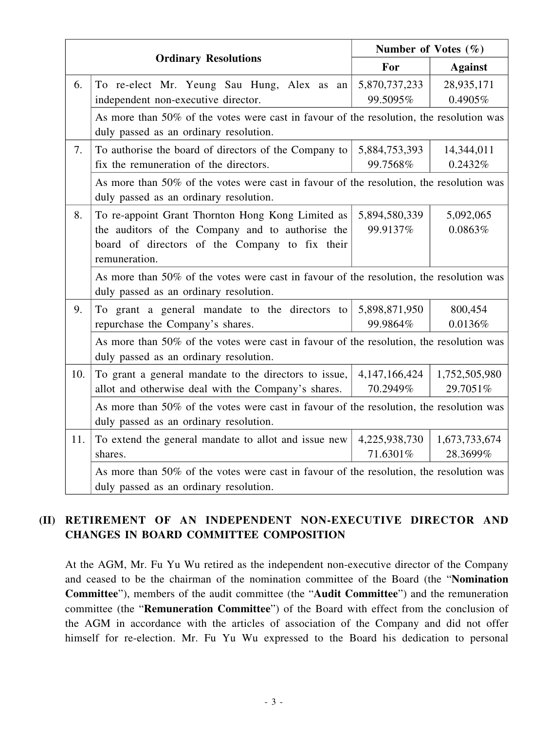|     |                                                                                                                                   | Number of Votes $(\% )$ |                |  |  |
|-----|-----------------------------------------------------------------------------------------------------------------------------------|-------------------------|----------------|--|--|
|     | <b>Ordinary Resolutions</b>                                                                                                       | For                     | <b>Against</b> |  |  |
| 6.  | To re-elect Mr. Yeung Sau Hung, Alex as an                                                                                        | 5,870,737,233           | 28,935,171     |  |  |
|     | independent non-executive director.                                                                                               | 99.5095%                | 0.4905%        |  |  |
|     | As more than 50% of the votes were cast in favour of the resolution, the resolution was<br>duly passed as an ordinary resolution. |                         |                |  |  |
| 7.  | To authorise the board of directors of the Company to                                                                             | 5,884,753,393           | 14,344,011     |  |  |
|     | fix the remuneration of the directors.                                                                                            | 99.7568%                | 0.2432%        |  |  |
|     | As more than 50% of the votes were cast in favour of the resolution, the resolution was<br>duly passed as an ordinary resolution. |                         |                |  |  |
| 8.  | To re-appoint Grant Thornton Hong Kong Limited as                                                                                 | 5,894,580,339           | 5,092,065      |  |  |
|     | the auditors of the Company and to authorise the                                                                                  | 99.9137%                | 0.0863%        |  |  |
|     | board of directors of the Company to fix their                                                                                    |                         |                |  |  |
|     | remuneration.                                                                                                                     |                         |                |  |  |
|     | As more than 50% of the votes were cast in favour of the resolution, the resolution was<br>duly passed as an ordinary resolution. |                         |                |  |  |
| 9.  | To grant a general mandate to the directors to                                                                                    | 5,898,871,950           | 800,454        |  |  |
|     | repurchase the Company's shares.                                                                                                  | 99.9864%                | 0.0136%        |  |  |
|     | As more than 50% of the votes were cast in favour of the resolution, the resolution was<br>duly passed as an ordinary resolution. |                         |                |  |  |
| 10. | To grant a general mandate to the directors to issue,                                                                             | 4,147,166,424           | 1,752,505,980  |  |  |
|     | allot and otherwise deal with the Company's shares.                                                                               | 70.2949%                | 29.7051%       |  |  |
|     | As more than 50% of the votes were cast in favour of the resolution, the resolution was                                           |                         |                |  |  |
|     | duly passed as an ordinary resolution.                                                                                            |                         |                |  |  |
| 11. | To extend the general mandate to allot and issue new                                                                              | 4,225,938,730           | 1,673,733,674  |  |  |
|     | shares.                                                                                                                           | 71.6301%                | 28.3699%       |  |  |
|     | As more than 50% of the votes were cast in favour of the resolution, the resolution was                                           |                         |                |  |  |
|     | duly passed as an ordinary resolution.                                                                                            |                         |                |  |  |

## **(II) RETIREMENT OF AN INDEPENDENT NON-EXECUTIVE DIRECTOR AND CHANGES IN BOARD COMMITTEE COMPOSITION**

At the AGM, Mr. Fu Yu Wu retired as the independent non-executive director of the Company and ceased to be the chairman of the nomination committee of the Board (the "**Nomination Committee**"), members of the audit committee (the "**Audit Committee**") and the remuneration committee (the "**Remuneration Committee**") of the Board with effect from the conclusion of the AGM in accordance with the articles of association of the Company and did not offer himself for re-election. Mr. Fu Yu Wu expressed to the Board his dedication to personal